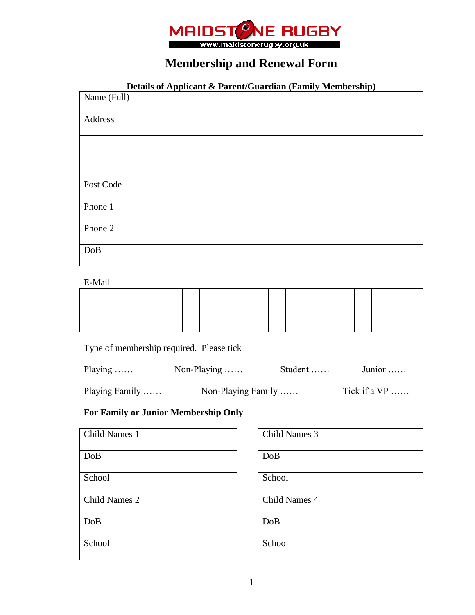

## **Membership and Renewal Form**

## **Details of Applicant & Parent/Guardian (Family Membership)**

| Name (Full) |  |
|-------------|--|
| Address     |  |
|             |  |
|             |  |
| Post Code   |  |
| Phone 1     |  |
| Phone 2     |  |
| DoB         |  |

E-Mail

Type of membership required. Please tick

| Playing $\ldots$ | Non-Playing $\ldots$ . | Student $\dots$ | Junior $\dots$ |
|------------------|------------------------|-----------------|----------------|
| Playing Family   | Non-Playing Family     |                 | Tick if a $VP$ |

## **For Family or Junior Membership Only**

| Child Names 1 |  | Child Names 3 |
|---------------|--|---------------|
| DoB           |  | DoB           |
| School        |  | School        |
| Child Names 2 |  | Child Names 4 |
| DoB           |  | DoB           |
| School        |  | School        |

| Child Names 3 |  |
|---------------|--|
| DoB           |  |
|               |  |
| School        |  |
|               |  |
| Child Names 4 |  |
| DoB           |  |
|               |  |
| School        |  |
|               |  |